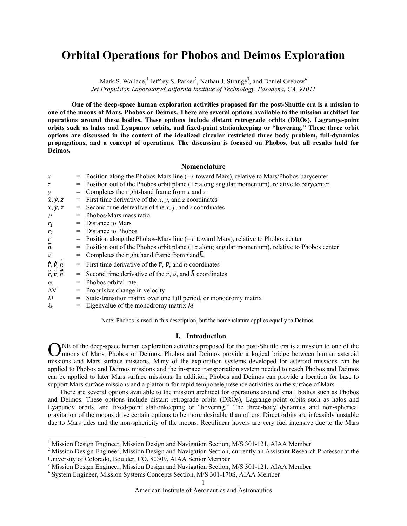# **Orbital Operations for Phobos and Deimos Exploration**

Mark S. Wallace,<sup>1</sup> Jeffrey S. Parker<sup>2</sup>, Nathan J. Strange<sup>3</sup>, and Daniel Grebow<sup>4</sup> *Jet Propulsion Laboratory/California Institute of Technology, Pasadena, CA, 91011* 

**One of the deep-space human exploration activities proposed for the post-Shuttle era is a mission to one of the moons of Mars, Phobos or Deimos. There are several options available to the mission architect for operations around these bodies. These options include distant retrograde orbits (DROs), Lagrange-point orbits such as halos and Lyapunov orbits, and fixed-point stationkeeping or "hovering." These three orbit options are discussed in the context of the idealized circular restricted three body problem, full-dynamics propagations, and a concept of operations. The discussion is focused on Phobos, but all results hold for Deimos.**

#### **Nomenclature**

| $\boldsymbol{\chi}$                                 |                                   | $=$ Position along the Phobos-Mars line ( $-x$ toward Mars), relative to Mars/Phobos barycenter |
|-----------------------------------------------------|-----------------------------------|-------------------------------------------------------------------------------------------------|
| z                                                   | $\hspace{1.6cm} = \hspace{1.6cm}$ | Position out of the Phobos orbit plane $(+z$ along angular momentum), relative to barycenter    |
| $\mathcal{Y}$                                       | $=$                               | Completes the right-hand frame from $x$ and $z$                                                 |
| $\dot{x}$ , $\dot{y}$ , $\dot{z}$                   | $=$                               | First time derivative of the $x$ , $y$ , and $z$ coordinates                                    |
| $\ddot{x}, \ddot{y}, \ddot{z}$                      |                                   | = Second time derivative of the x, y, and z coordinates                                         |
| $\mu$                                               | $=$                               | Phobos/Mars mass ratio                                                                          |
| $r_{1}$                                             | $=$                               | Distance to Mars                                                                                |
| $r_{2}$                                             |                                   | Distance to Phobos                                                                              |
| $\bar{r}$                                           | $\hspace{1.6cm} = \hspace{1.6cm}$ | Position along the Phobos-Mars line $(-\bar{r}$ toward Mars), relative to Phobos center         |
| $\bar{h}$                                           |                                   | Position out of the Phobos orbit plane $(+z$ along angular momentum), relative to Phobos center |
| $\bar{v}$                                           | $=$                               | Completes the right hand frame from $\bar{r}$ and $\bar{h}$ .                                   |
| $\dot{\bar{r}}$ , $\dot{\bar{v}}$ , $\dot{\bar{h}}$ |                                   | = First time derivative of the $\bar{r}$ , $\bar{v}$ , and $\bar{h}$ coordinates                |
| $\ddot{\vec{r}}, \ddot{\vec{v}}, \ddot{\vec{h}}$    | $=$                               | Second time derivative of the $\bar{r}$ , $\bar{v}$ , and $\bar{h}$ coordinates                 |
| $\omega$                                            | $=$                               | Phobos orbital rate                                                                             |
| $\Delta V$                                          | $=$                               | Propulsive change in velocity                                                                   |
| M                                                   | $=$                               | State-transition matrix over one full period, or monodromy matrix                               |
| $\lambda_k$                                         |                                   | Eigenvalue of the monodromy matrix $M$                                                          |
|                                                     |                                   |                                                                                                 |

Note: Phobos is used in this description, but the nomenclature applies equally to Deimos.

# **I. Introduction**

NE of the deep-space human exploration activities proposed for the post-Shuttle era is a mission to one of the ONE of the deep-space human exploration activities proposed for the post-Shuttle era is a mission to one of the moons of Mars, Phobos or Deimos. Phobos and Deimos provide a logical bridge between human asteroid missions and Mars surface missions. Many of the exploration systems developed for asteroid missions can be applied to Phobos and Deimos missions and the in-space transportation system needed to reach Phobos and Deimos can be applied to later Mars surface missions. In addition, Phobos and Deimos can provide a location for base to support Mars surface missions and a platform for rapid-tempo telepresence activities on the surface of Mars.

There are several options available to the mission architect for operations around small bodies such as Phobos and Deimos. These options include distant retrograde orbits (DROs), Lagrange-point orbits such as halos and Lyapunov orbits, and fixed-point stationkeeping or "hovering." The three-body dynamics and non-spherical gravitation of the moons drive certain options to be more desirable than others. Direct orbits are infeasibly unstable due to Mars tides and the non-sphericity of the moons. Rectilinear hovers are very fuel intensive due to the Mars

 $\overline{\phantom{a}}$ 

<sup>&</sup>lt;sup>1</sup> Mission Design Engineer, Mission Design and Navigation Section, M/S 301-121, AIAA Member

<sup>&</sup>lt;sup>2</sup> Mission Design Engineer, Mission Design and Navigation Section, currently an Assistant Research Professor at the University of Colorado, Boulder, CO, 80309, AIAA Senior Member

<sup>&</sup>lt;sup>3</sup> Mission Design Engineer, Mission Design and Navigation Section, M/S 301-121, AIAA Member

<sup>4</sup> System Engineer, Mission Systems Concepts Section, M/S 301-170S, AIAA Member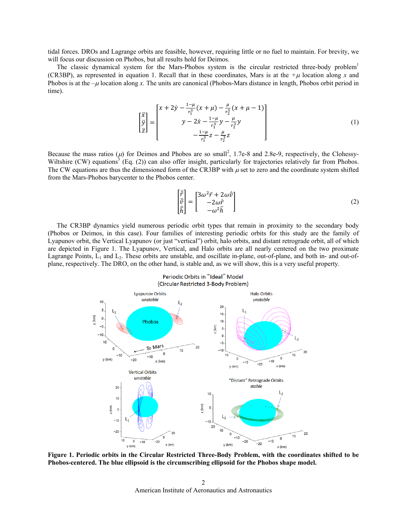tidal forces. DROs and Lagrange orbits are feasible, however, requiring little or no fuel to maintain. For brevity, we will focus our discussion on Phobos, but all results hold for Deimos.

The classic dynamical system for the Mars-Phobos system is the circular restricted three-body problem<sup>1</sup> (CR3BP), as represented in equation 1. Recall that in these coordinates, Mars is at the  $+\mu$  location along x and Phobos is at the  $-\mu$  location along x. The units are canonical (Phobos-Mars distance in length, Phobos orbit period in time).

$$
\begin{bmatrix} \ddot{x} \\ \ddot{y} \\ \ddot{z} \end{bmatrix} = \begin{bmatrix} x + 2\dot{y} - \frac{1-\mu}{r_1^3}(x+\mu) - \frac{\mu}{r_2^3}(x+\mu-1) \\ y - 2\dot{x} - \frac{1-\mu}{r_1^3}y - \frac{\mu}{r_2^3}y \\ -\frac{1-\mu}{r_1^3}z - \frac{\mu}{r_2^3}z \end{bmatrix}
$$
(1)

Because the mass ratios ( $\mu$ ) for Deimos and Phobos are so small<sup>2</sup>, 1.7e-8 and 2.8e-9, respectively, the Clohessy-Wiltshire (CW) equations<sup>3</sup> (Eq. (2)) can also offer insight, particularly for trajectories relatively far from Phobos. The CW equations are thus the dimensioned form of the CR3BP with  $\mu$  set to zero and the coordinate system shifted from the Mars-Phobos barycenter to the Phobos center.

$$
\begin{bmatrix} \ddot{\vec{r}} \\ \ddot{\vec{v}} \\ \ddot{\vec{h}} \end{bmatrix} = \begin{bmatrix} 3\omega^2 \vec{r} + 2\omega \dot{\vec{v}} \\ -2\omega \dot{\vec{r}} \\ -\omega^2 \vec{h} \end{bmatrix}
$$
\n(2)

The CR3BP dynamics yield numerous periodic orbit types that remain in proximity to the secondary body (Phobos or Deimos, in this case). Four families of interesting periodic orbits for this study are the family of Lyapunov orbit, the Vertical Lyapunov (or just "vertical") orbit, halo orbits, and distant retrograde orbit, all of which are depicted in Figure 1. The Lyapunov, Vertical, and Halo orbits are all nearly centered on the two proximate Lagrange Points,  $L_1$  and  $L_2$ . These orbits are unstable, and oscillate in-plane, out-of-plane, and both in- and out-ofplane, respectively. The DRO, on the other hand, is stable and, as we will show, this is a very useful property.



**Figure 1. Periodic orbits in the Circular Restricted Three-Body Problem, with the coordinates shifted to be Phobos-centered. The blue ellipsoid is the circumscribing ellipsoid for the Phobos shape model.**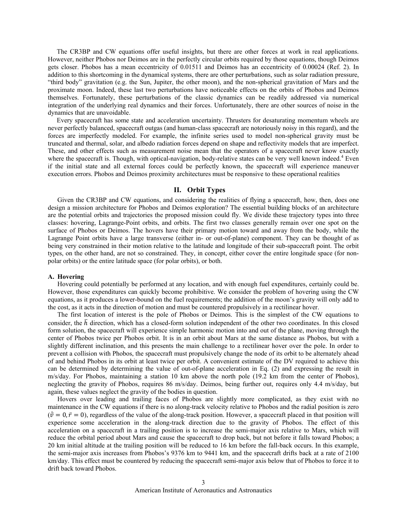The CR3BP and CW equations offer useful insights, but there are other forces at work in real applications. However, neither Phobos nor Deimos are in the perfectly circular orbits required by those equations, though Deimos gets closer. Phobos has a mean eccentricity of 0.01511 and Deimos has an eccentricity of 0.00024 (Ref. 2). In addition to this shortcoming in the dynamical systems, there are other perturbations, such as solar radiation pressure, "third body" gravitation (e.g. the Sun, Jupiter, the other moon), and the non-spherical gravitation of Mars and the proximate moon. Indeed, these last two perturbations have noticeable effects on the orbits of Phobos and Deimos themselves. Fortunately, these perturbations of the classic dynamics can be readily addressed via numerical integration of the underlying real dynamics and their forces. Unfortunately, there are other sources of noise in the dynamics that are unavoidable.

Every spacecraft has some state and acceleration uncertainty. Thrusters for desaturating momentum wheels are never perfectly balanced, spacecraft outgas (and human-class spacecraft are notoriously noisy in this regard), and the forces are imperfectly modeled. For example, the infinite series used to model non-spherical gravity must be truncated and thermal, solar, and albedo radiation forces depend on shape and reflectivity models that are imperfect. These, and other effects such as measurement noise mean that the operators of a spacecraft never know exactly where the spacecraft is. Though, with optical-navigation, body-relative states can be very well known indeed.<sup>4</sup> Even if the initial state and all external forces could be perfectly known, the spacecraft will experience maneuver execution errors. Phobos and Deimos proximity architectures must be responsive to these operational realities

# **II. Orbit Types**

Given the CR3BP and CW equations, and considering the realities of flying a spacecraft, how, then, does one design a mission architecture for Phobos and Deimos exploration? The essential building blocks of an architecture are the potential orbits and trajectories the proposed mission could fly. We divide these trajectory types into three classes: hovering, Lagrange-Point orbits, and orbits. The first two classes generally remain over one spot on the surface of Phobos or Deimos. The hovers have their primary motion toward and away from the body, while the Lagrange Point orbits have a large transverse (either in- or out-of-plane) component. They can be thought of as being very constrained in their motion relative to the latitude and longitude of their sub-spacecraft point. The orbit types, on the other hand, are not so constrained. They, in concept, either cover the entire longitude space (for nonpolar orbits) or the entire latitude space (for polar orbits), or both.

#### **A. Hovering**

Hovering could potentially be performed at any location, and with enough fuel expenditures, certainly could be. However, those expenditures can quickly become prohibitive. We consider the problem of hovering using the CW equations, as it produces a lower-bound on the fuel requirements; the addition of the moon's gravity will only add to the cost, as it acts in the direction of motion and must be countered propulsively in a rectilinear hover.

The first location of interest is the pole of Phobos or Deimos. This is the simplest of the CW equations to consider, the  $\bar{h}$  direction, which has a closed-form solution independent of the other two coordinates. In this closed form solution, the spacecraft will experience simple harmonic motion into and out of the plane, moving through the center of Phobos twice per Phobos orbit. It is in an orbit about Mars at the same distance as Phobos, but with a slightly different inclination, and this presents the main challenge to a rectilinear hover over the pole. In order to prevent a collision with Phobos, the spacecraft must propulsively change the node of its orbit to be alternately ahead of and behind Phobos in its orbit at least twice per orbit. A convenient estimate of the DV required to achieve this can be determined by determining the value of out-of-plane acceleration in Eq. (2) and expressing the result in m/s/day. For Phobos, maintaining a station 10 km above the north pole (19.2 km from the center of Phobos), neglecting the gravity of Phobos, requires 86 m/s/day. Deimos, being further out, requires only 4.4 m/s/day, but again, these values neglect the gravity of the bodies in question.

Hovers over leading and trailing faces of Phobos are slightly more complicated, as they exist with no maintenance in the CW equations if there is no along-track velocity relative to Phobos and the radial position is zero  $(\bar{v} = 0, \bar{r} = 0)$ , regardless of the value of the along-track position. However, a spacecraft placed in that position will experience some acceleration in the along-track direction due to the gravity of Phobos. The effect of this acceleration on a spacecraft in a trailing position is to increase the semi-major axis relative to Mars, which will reduce the orbital period about Mars and cause the spacecraft to drop back, but not before it falls toward Phobos; a 20 km initial altitude at the trailing position will be reduced to 16 km before the fall-back occurs. In this example, the semi-major axis increases from Phobos's 9376 km to 9441 km, and the spacecraft drifts back at a rate of 2100 km/day. This effect must be countered by reducing the spacecraft semi-major axis below that of Phobos to force it to drift back toward Phobos.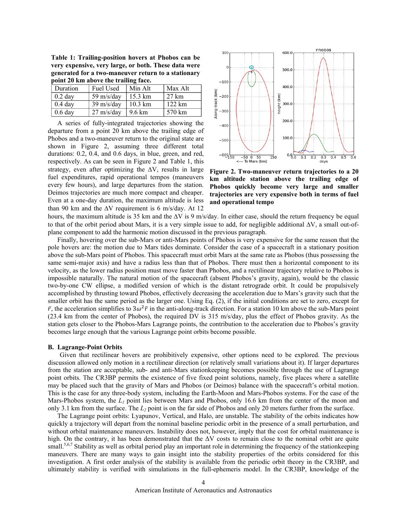**Table 1: Trailing-position hovers at Phobos can be very expensive, very large, or both. These data were generated for a two-maneuver return to a stationary point 20 km above the trailing face.** 

| $\mu$ , and $\mu$ and $\mu$ and $\mu$ and $\mu$ and $\mu$ |                      |                   |                  |  |  |  |  |  |  |
|-----------------------------------------------------------|----------------------|-------------------|------------------|--|--|--|--|--|--|
| Duration                                                  | Fuel Used<br>Min Alt |                   | Max Alt          |  |  |  |  |  |  |
| $0.2$ day                                                 | 59 m/s/day           | $15.3 \text{ km}$ | $27 \text{ km}$  |  |  |  |  |  |  |
| $0.4$ day                                                 | $39 \text{ m/s/day}$ | $10.3 \text{ km}$ | $122 \text{ km}$ |  |  |  |  |  |  |
| $0.6$ day                                                 | $27 \text{ m/s/day}$ | 9.6 km            | 570 km           |  |  |  |  |  |  |

A series of fully-integrated trajectories showing the departure from a point 20 km above the trailing edge of Phobos and a two-maneuver return to the original state are shown in Figure 2, assuming three different total durations: 0.2, 0.4, and 0.6 days, in blue, green, and red, respectively. As can be seen in Figure 2 and Table 1, this strategy, even after optimizing the  $\Delta V$ , results in large fuel expenditures, rapid operational tempos (maneuvers every few hours), and large departures from the station. Deimos trajectories are much more compact and cheaper. Even at a one-day duration, the maximum altitude is less than 90 km and the  $\Delta V$  requirement is 6 m/s/day. At 12



**Figure 2. Two-maneuver return trajectories to a 20 km altitude station above the trailing edge of Phobos quickly become very large and smaller trajectories are very expensive both in terms of fuel and operational tempo** 

hours, the maximum altitude is 35 km and the  $\Delta V$  is 9 m/s/day. In either case, should the return frequency be equal to that of the orbit period about Mars, it is a very simple issue to add, for negligible additional  $\Delta V$ , a small out-ofplane component to add the harmonic motion discussed in the previous paragraph.

Finally, hovering over the sub-Mars or anti-Mars points of Phobos is very expensive for the same reason that the pole hovers are: the motion due to Mars tides dominate. Consider the case of a spacecraft in a stationary position above the sub-Mars point of Phobos. This spacecraft must orbit Mars at the same rate as Phobos (thus possessing the same semi-major axis) and have a radius less than that of Phobos. There must then a horizontal component to its velocity, as the lower radius position must move faster than Phobos, and a rectilinear trajectory relative to Phobos is impossible naturally. The natural motion of the spacecraft (absent Phobos's gravity, again), would be the classic two-by-one CW ellipse, a modified version of which is the distant retrograde orbit. It could be propulsively accomplished by thrusting toward Phobos, effectively decreasing the acceleration due to Mars's gravity such that the smaller orbit has the same period as the larger one. Using Eq. (2), if the initial conditions are set to zero, except for  $\bar{r}$ , the acceleration simplifies to  $3\omega^2\bar{r}$  in the anti-along-track direction. For a station 10 km above the sub-Mars point (23.4 km from the center of Phobos), the required DV is 315 m/s/day, plus the effect of Phobos gravity. As the station gets closer to the Phobos-Mars Lagrange points, the contribution to the acceleration due to Phobos's gravity becomes large enough that the various Lagrange point orbits become possible.

#### **B. Lagrange-Point Orbits**

Given that rectilinear hovers are prohibitively expensive, other options need to be explored. The previous discussion allowed only motion in a rectilinear direction (or relatively small variations about it). If larger departures from the station are acceptable, sub- and anti-Mars stationkeeping becomes possible through the use of Lagrange point orbits. The CR3BP permits the existence of five fixed point solutions, namely, five places where a satellite may be placed such that the gravity of Mars and Phobos (or Deimos) balance with the spacecraft's orbital motion. This is the case for any three-body system, including the Earth-Moon and Mars-Phobos systems. For the case of the Mars-Phobos system, the *L<sub>1</sub>* point lies between Mars and Phobos, only 16.6 km from the center of the moon and only 3.1 km from the surface. The  $L_2$  point is on the far side of Phobos and only 20 meters further from the surface.

The Lagrange point orbits: Lyapunov, Vertical, and Halo, are unstable. The stability of the orbits indicates how quickly a trajectory will depart from the nominal baseline periodic orbit in the presence of a small perturbation, and without orbital maintenance maneuvers. Instability does not, however, imply that the cost for orbital maintenance is high. On the contrary, it has been demonstrated that the ΔV costs to remain close to the nominal orbit are quite small.<sup>5,6,7</sup> Stability as well as orbital period play an important role in determining the frequency of the stationkeeping maneuvers. There are many ways to gain insight into the stability properties of the orbits considered for this investigation. A first order analysis of the stability is available from the periodic orbit theory in the CR3BP, and ultimately stability is verified with simulations in the full-ephemeris model. In the CR3BP, knowledge of the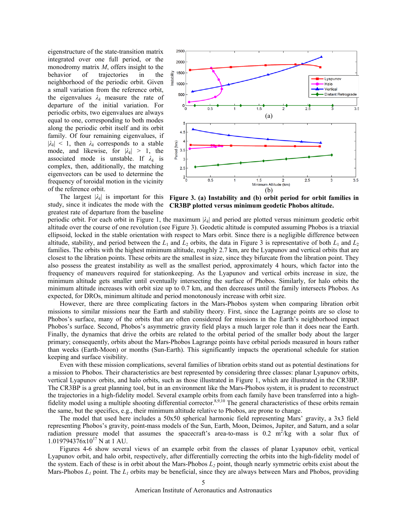eigenstructure of the state-transition matrix integrated over one full period, or the monodromy matrix *M*, offers insight to the behavior of trajectories in the neighborhood of the periodic orbit. Given a small variation from the reference orbit, the eigenvalues  $\lambda_k$  measure the rate of departure of the initial variation. For periodic orbits, two eigenvalues are always equal to one, corresponding to both modes along the periodic orbit itself and its orbit family. Of four remaining eigenvalues, if  $|\lambda_k|$  < 1, then  $\lambda_k$  corresponds to a stable mode, and likewise, for  $|\lambda_k| > 1$ , the associated mode is unstable. If  $\lambda_k$  is complex, then, additionally, the matching eigenvectors can be used to determine the frequency of toroidal motion in the vicinity of the reference orbit.

The largest  $|\lambda_k|$  is important for this study, since it indicates the mode with the greatest rate of departure from the baseline



**Figure 3. (a) Instability and (b) orbit period for orbit families in CR3BP plotted versus minimum geodetic Phobos altitude.** 

periodic orbit. For each orbit in Figure 1, the maximum  $|\lambda_k|$  and period are plotted versus minimum geodetic orbit altitude over the course of one revolution (see Figure 3). Geodetic altitude is computed assuming Phobos is a triaxial ellipsoid, locked in the stable orientation with respect to Mars orbit. Since there is a negligible difference between altitude, stability, and period between the  $L_1$  and  $L_2$  orbits, the data in Figure 3 is representative of both  $L_1$  and  $L_2$ families. The orbits with the highest minimum altitude, roughly 2.7 km, are the Lyapunov and vertical orbits that are closest to the libration points. These orbits are the smallest in size, since they bifurcate from the libration point. They also possess the greatest instability as well as the smallest period, approximately 4 hours, which factor into the frequency of maneuvers required for stationkeeping. As the Lyapunov and vertical orbits increase in size, the minimum altitude gets smaller until eventually intersecting the surface of Phobos. Similarly, for halo orbits the minimum altitude increases with orbit size up to 0.7 km, and then decreases until the family intersects Phobos. As expected, for DROs, minimum altitude and period monotonously increase with orbit size.

However, there are three complicating factors in the Mars-Phobos system when comparing libration orbit missions to similar missions near the Earth and stability theory. First, since the Lagrange points are so close to Phobos's surface, many of the orbits that are often considered for missions in the Earth's neighborhood impact Phobos's surface. Second, Phobos's asymmetric gravity field plays a much larger role than it does near the Earth. Finally, the dynamics that drive the orbits are related to the orbital period of the smaller body about the larger primary; consequently, orbits about the Mars-Phobos Lagrange points have orbital periods measured in hours rather than weeks (Earth-Moon) or months (Sun-Earth). This significantly impacts the operational schedule for station keeping and surface visibility.

Even with these mission complications, several families of libration orbits stand out as potential destinations for a mission to Phobos. Their characteristics are best represented by considering three classes: planar Lyapunov orbits, vertical Lyapunov orbits, and halo orbits, such as those illustrated in Figure 1, which are illustrated in the CR3BP. The CR3BP is a great planning tool, but in an environment like the Mars-Phobos system, it is prudent to reconstruct the trajectories in a high-fidelity model. Several example orbits from each family have been transferred into a highfidelity model using a multiple shooting differential corrector.<sup>8,9,10</sup> The general characteristics of these orbits remain the same, but the specifics, e.g., their minimum altitude relative to Phobos, are prone to change.

The model that used here includes a 50x50 spherical harmonic field representing Mars' gravity, a 3x3 field representing Phobos's gravity, point-mass models of the Sun, Earth, Moon, Deimos, Jupiter, and Saturn, and a solar radiation pressure model that assumes the spacecraft's area-to-mass is 0.2  $m^2/kg$  with a solar flux of  $1.019794376x10^{17}$  N at 1 AU.

Figures 4-6 show several views of an example orbit from the classes of planar Lyapunov orbit, vertical Lyapunov orbit, and halo orbit, respectively, after differentially correcting the orbits into the high-fidelity model of the system. Each of these is in orbit about the Mars-Phobos  $L_2$  point, though nearly symmetric orbits exist about the Mars-Phobos  $L_1$  point. The  $L_1$  orbits may be beneficial, since they are always between Mars and Phobos, providing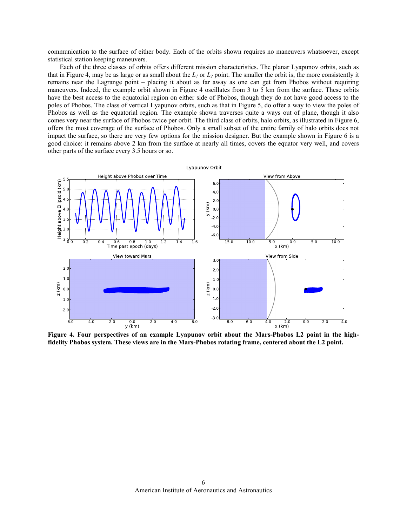communication to the surface of either body. Each of the orbits shown requires no maneuvers whatsoever, except statistical station keeping maneuvers.

Each of the three classes of orbits offers different mission characteristics. The planar Lyapunov orbits, such as that in Figure 4, may be as large or as small about the  $L_1$  or  $L_2$  point. The smaller the orbit is, the more consistently it remains near the Lagrange point – placing it about as far away as one can get from Phobos without requiring maneuvers. Indeed, the example orbit shown in Figure 4 oscillates from 3 to 5 km from the surface. These orbits have the best access to the equatorial region on either side of Phobos, though they do not have good access to the poles of Phobos. The class of vertical Lyapunov orbits, such as that in Figure 5, do offer a way to view the poles of Phobos as well as the equatorial region. The example shown traverses quite a ways out of plane, though it also comes very near the surface of Phobos twice per orbit. The third class of orbits, halo orbits, as illustrated in Figure 6, offers the most coverage of the surface of Phobos. Only a small subset of the entire family of halo orbits does not impact the surface, so there are very few options for the mission designer. But the example shown in Figure 6 is a good choice: it remains above 2 km from the surface at nearly all times, covers the equator very well, and covers other parts of the surface every 3.5 hours or so.



**Figure 4. Four perspectives of an example Lyapunov orbit about the Mars-Phobos L2 point in the highfidelity Phobos system. These views are in the Mars-Phobos rotating frame, centered about the L2 point.**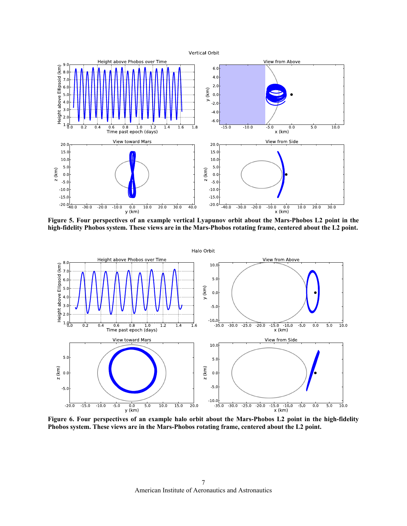

**Figure 5. Four perspectives of an example vertical Lyapunov orbit about the Mars-Phobos L2 point in the high-fidelity Phobos system. These views are in the Mars-Phobos rotating frame, centered about the L2 point.** 



**Figure 6. Four perspectives of an example halo orbit about the Mars-Phobos L2 point in the high-fidelity Phobos system. These views are in the Mars-Phobos rotating frame, centered about the L2 point.**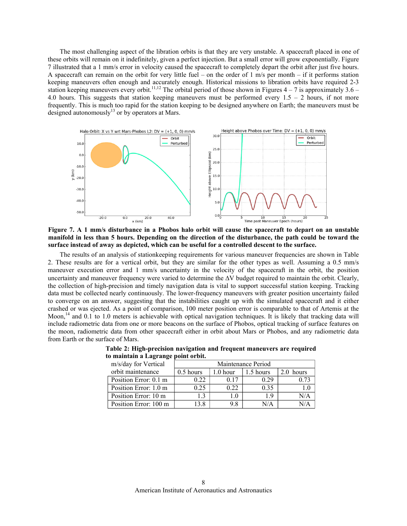The most challenging aspect of the libration orbits is that they are very unstable. A spacecraft placed in one of these orbits will remain on it indefinitely, given a perfect injection. But a small error will grow exponentially. Figure 7 illustrated that a 1 mm/s error in velocity caused the spacecraft to completely depart the orbit after just five hours. A spacecraft can remain on the orbit for very little fuel – on the order of 1 m/s per month – if it performs station keeping maneuvers often enough and accurately enough. Historical missions to libration orbits have required 2-3 station keeping maneuvers every orbit.<sup>11,12</sup> The orbital period of those shown in Figures  $4 - 7$  is approximately  $3.6 -$ 4.0 hours. This suggests that station keeping maneuvers must be performed every 1.5 – 2 hours, if not more frequently. This is much too rapid for the station keeping to be designed anywhere on Earth; the maneuvers must be designed autonomously $^{13}$  or by operators at Mars.



**Figure 7. A 1 mm/s disturbance in a Phobos halo orbit will cause the spacecraft to depart on an unstable manifold in less than 5 hours. Depending on the direction of the disturbance, the path could be toward the surface instead of away as depicted, which can be useful for a controlled descent to the surface.** 

The results of an analysis of stationkeeping requirements for various maneuver frequencies are shown in Table 2. These results are for a vertical orbit, but they are similar for the other types as well. Assuming a 0.5 mm/s maneuver execution error and 1 mm/s uncertainty in the velocity of the spacecraft in the orbit, the position uncertainty and maneuver frequency were varied to determine the  $\Delta V$  budget required to maintain the orbit. Clearly, the collection of high-precision and timely navigation data is vital to support successful station keeping. Tracking data must be collected nearly continuously. The lower-frequency maneuvers with greater position uncertainty failed to converge on an answer, suggesting that the instabilities caught up with the simulated spacecraft and it either crashed or was ejected. As a point of comparison, 100 meter position error is comparable to that of Artemis at the Moon, $^{14}$  and 0.1 to 1.0 meters is achievable with optical navigation techniques. It is likely that tracking data will include radiometric data from one or more beacons on the surface of Phobos, optical tracking of surface features on the moon, radiometric data from other spacecraft either in orbit about Mars or Phobos, and any radiometric data from Earth or the surface of Mars.

| m/s/day for Vertical  | Maintenance Period |            |           |           |
|-----------------------|--------------------|------------|-----------|-----------|
| orbit maintenance     | $0.5$ hours        | $1.0$ hour | 1.5 hours | 2.0 hours |
| Position Error: 0.1 m | 0.22               | 0.17       | 0.29      | 0.73      |
| Position Error: 1.0 m | 0.25               | 0.22       | 0.35      | 1.0       |
| Position Error: 10 m  | 1.3                | 1.0        | 19        | N/A       |
| Position Error: 100 m | 13.8               | 9.8        | N/A       |           |

**Table 2: High-precision navigation and frequent maneuvers are required to maintain a Lagrange point orbit.**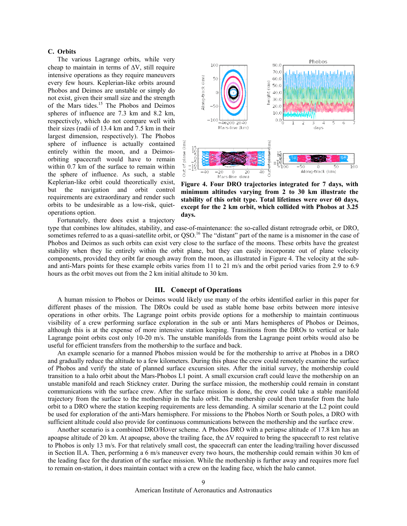# **C. Orbits**

The various Lagrange orbits, while very cheap to maintain in terms of  $\Delta V$ , still require intensive operations as they require maneuvers every few hours. Keplerian-like orbits around Phobos and Deimos are unstable or simply do not exist, given their small size and the strength of the Mars tides.<sup>15</sup> The Phobos and Deimos spheres of influence are 7.3 km and 8.2 km, respectively, which do not compare well with their sizes (radii of 13.4 km and 7.5 km in their largest dimension, respectively). The Phobos sphere of influence is actually contained entirely within the moon, and a Deimosorbiting spacecraft would have to remain within 0.7 km of the surface to remain within the sphere of influence. As such, a stable Keplerian-like orbit could theoretically exist, but the navigation and orbit control requirements are extraordinary and render such orbits to be undesirable as a low-risk, quietoperations option.



**Figure 4. Four DRO trajectories integrated for 7 days, with minimum altitudes varying from 2 to 30 km illustrate the stability of this orbit type. Total lifetimes were over 60 days, except for the 2 km orbit, which collided with Phobos at 3.25 days.** 

Fortunately, there does exist a trajectory

type that combines low altitudes, stability, and ease-of-maintenance: the so-called distant retrograde orbit, or DRO, sometimes referred to as a quasi-satellite orbit, or QSO.<sup>16</sup> The "distant" part of the name is a misnomer in the case of Phobos and Deimos as such orbits can exist very close to the surface of the moons. These orbits have the greatest stability when they lie entirely within the orbit plane, but they can easily incorporate out of plane velocity components, provided they oribt far enough away from the moon, as illustrated in Figure 4. The velocity at the suband anti-Mars points for these example orbits varies from 11 to 21 m/s and the orbit period varies from 2.9 to 6.9 hours as the orbit moves out from the 2 km initial altitude to 30 km.

#### **III. Concept of Operations**

A human mission to Phobos or Deimos would likely use many of the orbits identified earlier in this paper for different phases of the mission. The DROs could be used as stable home base orbits between more intesive operations in other orbits. The Lagrange point orbits provide options for a mothership to maintain continuous visibility of a crew performing surface exploration in the sub or anti Mars hemispheres of Phobos or Deimos, although this is at the expense of more intensive station keeping. Transitions from the DROs to vertical or halo Lagrange point orbits cost only 10-20 m/s. The unstable manifolds from the Lagrange point orbits would also be useful for efficient transfers from the mothership to the surface and back.

An example scenario for a manned Phobos mission would be for the mothership to arrive at Phobos in a DRO and gradually reduce the altitude to a few kilometers. During this phase the crew could remotely examine the surface of Phobos and verify the state of planned surface excursion sites. After the initial survey, the mothership could transition to a halo orbit about the Mars-Phobos L1 point. A small excursion craft could leave the mothership on an unstable manifold and reach Stickney crater. During the surface mission, the mothership could remain in constant communications with the surface crew. After the surface mission is done, the crew could take a stable manifold trajectory from the surface to the mothership in the halo orbit. The mothership could then transfer from the halo orbit to a DRO where the station keeping requirements are less demanding. A similar scenario at the L2 point could be used for exploration of the anti-Mars hemisphere. For missions to the Phobos North or South poles, a DRO with sufficient altitude could also provide for continuous communications between the mothership and the surface crew.

Another scenario is a combined DRO/Hover scheme. A Phobos DRO with a periapse altitude of 17.8 km has an apoapse altitude of 20 km. At apoapse, above the trailing face, the  $\Delta V$  required to bring the spacecraft to rest relative to Phobos is only 13 m/s. For that relatively small cost, the spacecraft can enter the leading/trailing hover discussed in Section II.A. Then, performing a 6 m/s maneuver every two hours, the mothership could remain within 30 km of the leading face for the duration of the surface mission. While the mothership is further away and requires more fuel to remain on-station, it does maintain contact with a crew on the leading face, which the halo cannot.